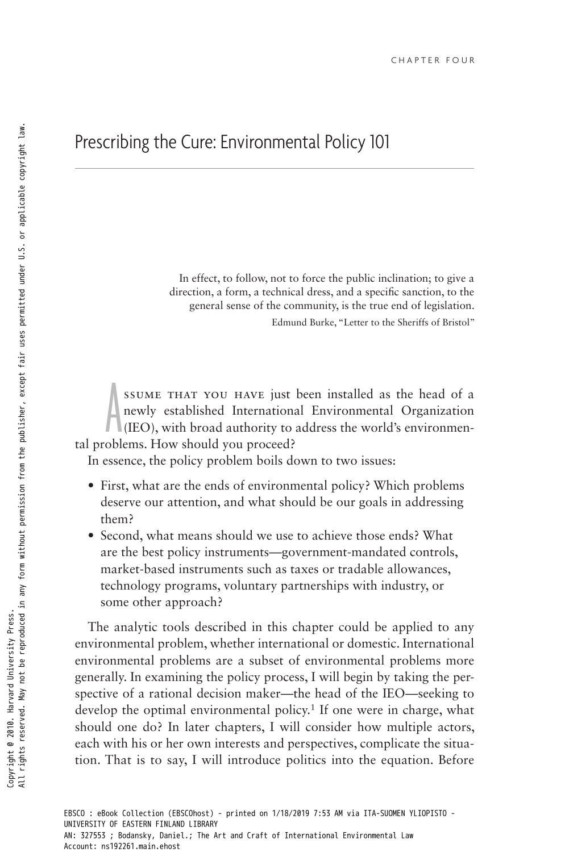# Prescribing the Cure: Environmental Policy 101

In effect, to follow, not to force the public inclination; to give a direction, a form, a technical dress, and a specific sanction, to the general sense of the community, is the true end of legislation.

Edmund Burke, "Letter to the Sheriffs of Bristol"

SSUME THAT YOU HAVE just<br>newly established Internation:<br>(IEO), with broad authority to<br>tal problems. How should you proceed? ssume that you have just been installed as the head of a newly established International Environmental Organization (IEO), with broad authority to address the world's environmen-

In essence, the policy problem boils down to two issues:

- First, what are the ends of environmental policy? Which problems deserve our attention, and what should be our goals in addressing them?
- Second, what means should we use to achieve those ends? What are the best policy instruments—government-mandated controls, market-based instruments such as taxes or tradable allowances, technology programs, voluntary partnerships with industry, or some other approach?

The analytic tools described in this chapter could be applied to any environmental problem, whether international or domestic. International environmental problems are a subset of environmental problems more generally. In examining the policy process, I will begin by taking the perspective of a rational decision maker— the head of the IEO— seeking to develop the optimal environmental policy.<sup>1</sup> If one were in charge, what should one do? In later chapters, I will consider how multiple actors, each with his or her own interests and perspectives, complicate the situation. That is to say, I will introduce politics into the equation. Before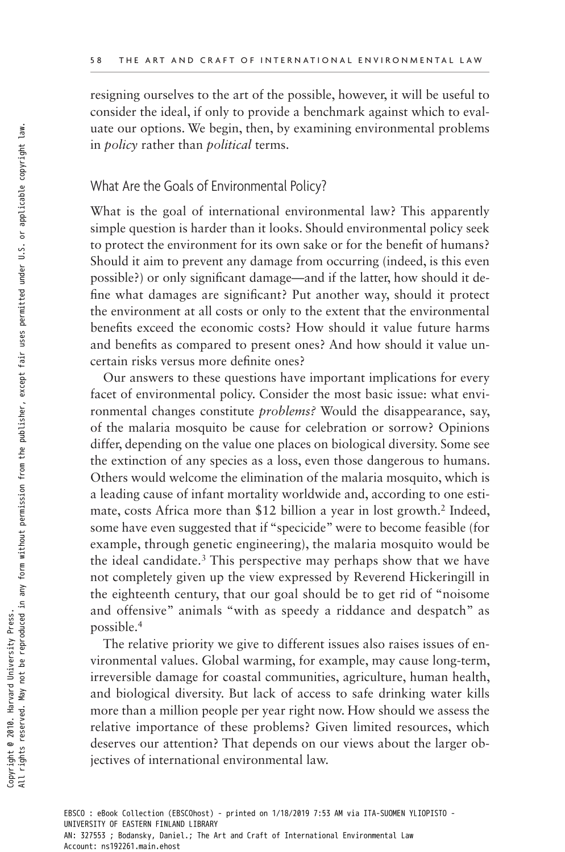resigning ourselves to the art of the possible, however, it will be useful to consider the ideal, if only to provide a benchmark against which to evaluate our options. We begin, then, by examining environmental problems in *policy* rather than *political* terms.

# What Are the Goals of Environmental Policy?

What is the goal of international environmental law? This apparently simple question is harder than it looks. Should environmental policy seek to protect the environment for its own sake or for the benefit of humans? Should it aim to prevent any damage from occurring (indeed, is this even possible?) or only significant damage—and if the latter, how should it define what damages are significant? Put another way, should it protect the environment at all costs or only to the extent that the environmental benefits exceed the economic costs? How should it value future harms and benefits as compared to present ones? And how should it value uncertain risks versus more definite ones?

Our answers to these questions have important implications for every facet of environmental policy. Consider the most basic issue: what environmental changes constitute *problems?* Would the disappearance, say, of the malaria mosquito be cause for celebration or sorrow? Opinions differ, depending on the value one places on biological diversity. Some see the extinction of any species as a loss, even those dangerous to humans. Others would welcome the elimination of the malaria mosquito, which is a leading cause of infant mortality worldwide and, according to one estimate, costs Africa more than \$12 billion a year in lost growth.<sup>2</sup> Indeed, some have even suggested that if "specicide" were to become feasible (for example, through genetic engineering), the malaria mosquito would be the ideal candidate.3 This perspective may perhaps show that we have not completely given up the view expressed by Reverend Hickeringill in the eighteenth century, that our goal should be to get rid of "noisome" and offensive" animals "with as speedy a riddance and despatch" as possible.4

The relative priority we give to different issues also raises issues of environmental values. Global warming, for example, may cause long-term, irreversible damage for coastal communities, agriculture, human health, and biological diversity. But lack of access to safe drinking water kills more than a million people per year right now. How should we assess the relative importance of these problems? Given limited resources, which deserves our attention? That depends on our views about the larger objectives of international environmental law.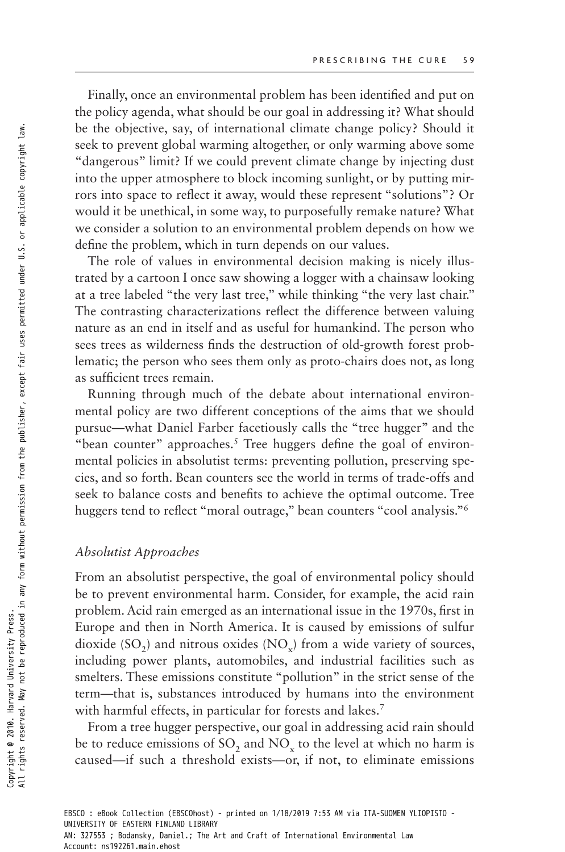Finally, once an environmental problem has been identified and put on the policy agenda, what should be our goal in addressing it? What should be the objective, say, of international climate change policy? Should it seek to prevent global warming altogether, or only warming above some "dangerous" limit? If we could prevent climate change by injecting dust into the upper atmosphere to block incoming sunlight, or by putting mirrors into space to reflect it away, would these represent "solutions"? Or would it be unethical, in some way, to purposefully remake nature? What we consider a solution to an environmental problem depends on how we define the problem, which in turn depends on our values.

The role of values in environmental decision making is nicely illustrated by a cartoon I once saw showing a logger with a chainsaw looking at a tree labeled "the very last tree," while thinking "the very last chair." The contrasting characterizations reflect the difference between valuing nature as an end in itself and as useful for humankind. The person who sees trees as wilderness finds the destruction of old-growth forest problematic; the person who sees them only as proto- chairs does not, as long as sufficient trees remain.

Running through much of the debate about international environmental policy are two different conceptions of the aims that we should pursue— what Daniel Farber facetiously calls the "tree hugger" and the "bean counter" approaches. $5$  Tree huggers define the goal of environmental policies in absolutist terms: preventing pollution, preserving species, and so forth. Bean counters see the world in terms of trade- offs and seek to balance costs and benefits to achieve the optimal outcome. Tree huggers tend to reflect "moral outrage," bean counters "cool analysis."<sup>6</sup>

# *Absolutist Approaches*

From an absolutist perspective, the goal of environmental policy should be to prevent environmental harm. Consider, for example, the acid rain problem. Acid rain emerged as an international issue in the 1970s, first in Europe and then in North America. It is caused by emissions of sulfur dioxide  $(SO<sub>2</sub>)$  and nitrous oxides  $(NO<sub>x</sub>)$  from a wide variety of sources, including power plants, automobiles, and industrial facilities such as smelters. These emissions constitute "pollution" in the strict sense of the term— that is, substances introduced by humans into the environment with harmful effects, in particular for forests and lakes.<sup>7</sup>

From a tree hugger perspective, our goal in addressing acid rain should be to reduce emissions of SO<sub>2</sub> and NO<sub>y</sub> to the level at which no harm is caused— if such a threshold exists— or, if not, to eliminate emissions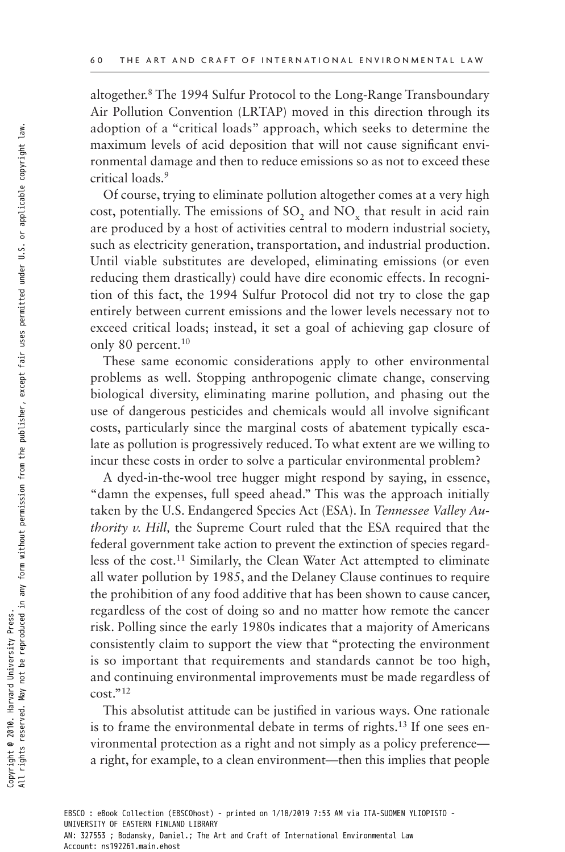altogether.<sup>8</sup> The 1994 Sulfur Protocol to the Long-Range Transboundary Air Pollution Convention (LRTAP) moved in this direction through its adoption of a "critical loads" approach, which seeks to determine the maximum levels of acid deposition that will not cause significant environmental damage and then to reduce emissions so as not to exceed these critical loads.9

Of course, trying to eliminate pollution altogether comes at a very high cost, potentially. The emissions of  $SO<sub>2</sub>$  and  $NO<sub>x</sub>$  that result in acid rain are produced by a host of activities central to modern industrial society, such as electricity generation, transportation, and industrial production. Until viable substitutes are developed, eliminating emissions (or even reducing them drastically) could have dire economic effects. In recognition of this fact, the 1994 Sulfur Protocol did not try to close the gap entirely between current emissions and the lower levels necessary not to exceed critical loads; instead, it set a goal of achieving gap closure of only 80 percent.<sup>10</sup>

These same economic considerations apply to other environmental problems as well. Stopping anthropogenic climate change, conserving biological diversity, eliminating marine pollution, and phasing out the use of dangerous pesticides and chemicals would all involve significant costs, particularly since the marginal costs of abatement typically escalate as pollution is progressively reduced. To what extent are we willing to incur these costs in order to solve a particular environmental problem?

A dyed-in-the-wool tree hugger might respond by saying, in essence, "damn the expenses, full speed ahead." This was the approach initially taken by the U.S. Endangered Species Act (ESA). In *Tennessee Valley Authority v. Hill,* the Supreme Court ruled that the ESA required that the federal government take action to prevent the extinction of species regardless of the cost.11 Similarly, the Clean Water Act attempted to eliminate all water pollution by 1985, and the Delaney Clause continues to require the prohibition of any food additive that has been shown to cause cancer, regardless of the cost of doing so and no matter how remote the cancer risk. Polling since the early 1980s indicates that a majority of Americans consistently claim to support the view that "protecting the environment is so important that requirements and standards cannot be too high, and continuing environmental improvements must be made regardless of  $cost.$ "<sup>12</sup>

This absolutist attitude can be justified in various ways. One rationale is to frame the environmental debate in terms of rights.<sup>13</sup> If one sees environmental protection as a right and not simply as a policy preference a right, for example, to a clean environment— then this implies that people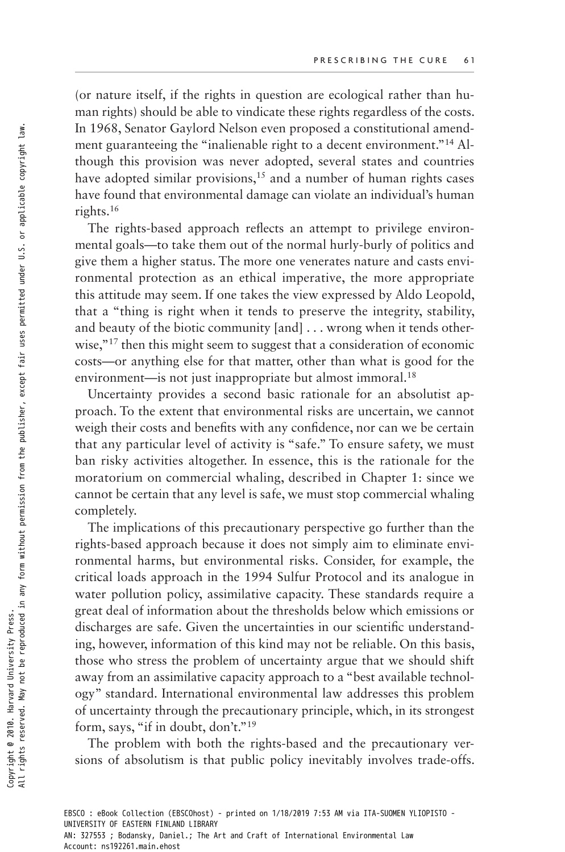(or nature itself, if the rights in question are ecological rather than human rights) should be able to vindicate these rights regardless of the costs. In 1968, Senator Gaylord Nelson even proposed a constitutional amendment guaranteeing the "inalienable right to a decent environment."<sup>14</sup> Although this provision was never adopted, several states and countries have adopted similar provisions, $15$  and a number of human rights cases have found that environmental damage can violate an individual's human rights.16

The rights-based approach reflects an attempt to privilege environmental goals—to take them out of the normal hurly-burly of politics and give them a higher status. The more one venerates nature and casts environmental protection as an ethical imperative, the more appropriate this attitude may seem. If one takes the view expressed by Aldo Leopold, that a "thing is right when it tends to preserve the integrity, stability, and beauty of the biotic community [and] . . . wrong when it tends otherwise,"<sup>17</sup> then this might seem to suggest that a consideration of economic costs— or anything else for that matter, other than what is good for the environment— is not just inappropriate but almost immoral.<sup>18</sup>

Uncertainty provides a second basic rationale for an absolutist approach. To the extent that environmental risks are uncertain, we cannot weigh their costs and benefits with any confidence, nor can we be certain that any particular level of activity is "safe." To ensure safety, we must ban risky activities altogether. In essence, this is the rationale for the moratorium on commercial whaling, described in Chapter 1: since we cannot be certain that any level is safe, we must stop commercial whaling completely.

The implications of this precautionary perspective go further than the rights- based approach because it does not simply aim to eliminate environmental harms, but environmental risks. Consider, for example, the critical loads approach in the 1994 Sulfur Protocol and its analogue in water pollution policy, assimilative capacity. These standards require a great deal of information about the thresholds below which emissions or discharges are safe. Given the uncertainties in our scientific understanding, however, information of this kind may not be reliable. On this basis, those who stress the problem of uncertainty argue that we should shift away from an assimilative capacity approach to a "best available technology" standard. International environmental law addresses this problem of uncertainty through the precautionary principle, which, in its strongest form, says, "if in doubt, don't."19

The problem with both the rights-based and the precautionary versions of absolutism is that public policy inevitably involves trade-offs.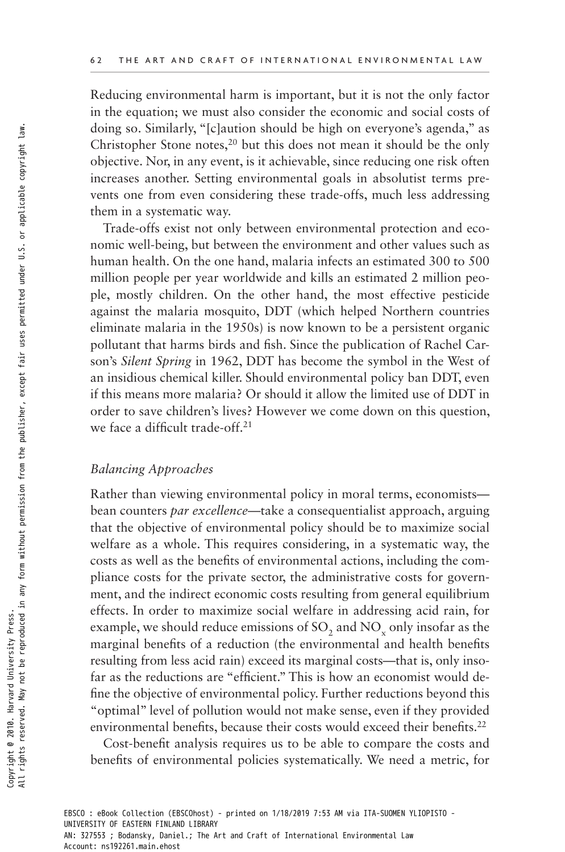Reducing environmental harm is important, but it is not the only factor in the equation; we must also consider the economic and social costs of doing so. Similarly, "[c]aution should be high on everyone's agenda," as Christopher Stone notes,  $20$  but this does not mean it should be the only objective. Nor, in any event, is it achievable, since reducing one risk often increases another. Setting environmental goals in absolutist terms prevents one from even considering these trade- offs, much less addressing them in a systematic way.

Trade- offs exist not only between environmental protection and economic well- being, but between the environment and other values such as human health. On the one hand, malaria infects an estimated 300 to 500 million people per year worldwide and kills an estimated 2 million people, mostly children. On the other hand, the most effective pesticide against the malaria mosquito, DDT (which helped Northern countries eliminate malaria in the 1950s) is now known to be a persistent organic pollutant that harms birds and fish. Since the publication of Rachel Carson's *Silent Spring* in 1962, DDT has become the symbol in the West of an insidious chemical killer. Should environmental policy ban DDT, even if this means more malaria? Or should it allow the limited use of DDT in order to save children's lives? However we come down on this question, we face a difficult trade-off.<sup>21</sup>

## *Balancing Approaches*

Rather than viewing environmental policy in moral terms, economists bean counters *par excellence*— take a consequentialist approach, arguing that the objective of environmental policy should be to maximize social welfare as a whole. This requires considering, in a systematic way, the costs as well as the benefits of environmental actions, including the compliance costs for the private sector, the administrative costs for government, and the indirect economic costs resulting from general equilibrium effects. In order to maximize social welfare in addressing acid rain, for example, we should reduce emissions of  $SO_2$  and  $NO_x$  only insofar as the marginal benefits of a reduction (the environmental and health benefits resulting from less acid rain) exceed its marginal costs— that is, only insofar as the reductions are "efficient." This is how an economist would define the objective of environmental policy. Further reductions beyond this "optimal" level of pollution would not make sense, even if they provided environmental benefits, because their costs would exceed their benefits.<sup>22</sup>

Cost-benefit analysis requires us to be able to compare the costs and benefits of environmental policies systematically. We need a metric, for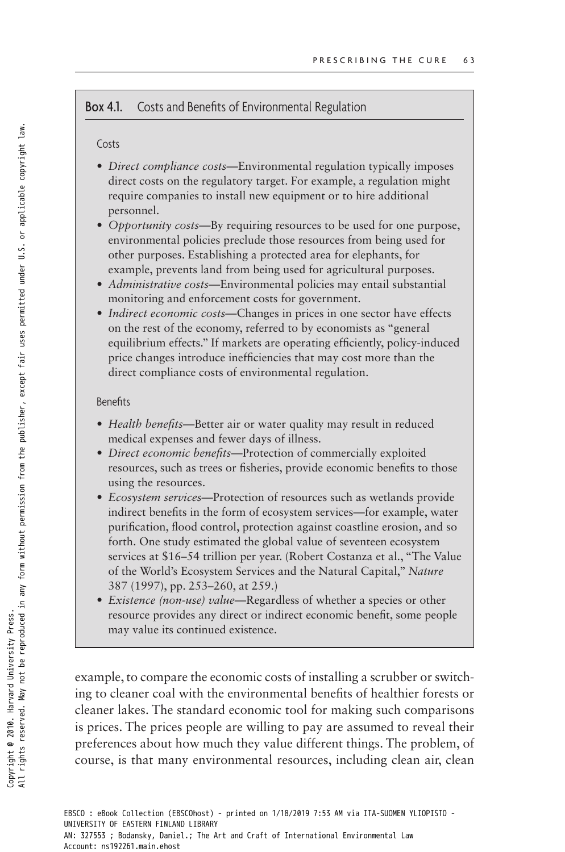## Box 4.1. Costs and Benefits of Environmental Regulation

#### Costs

- *Direct compliance costs* Environmental regulation typically imposes direct costs on the regulatory target. For example, a regulation might require companies to install new equipment or to hire additional personnel.
- *Opportunity costs* By requiring resources to be used for one purpose, environmental policies preclude those resources from being used for other purposes. Establishing a protected area for elephants, for example, prevents land from being used for agricultural purposes.
- *Administrative costs* Environmental policies may entail substantial monitoring and enforcement costs for government.
- *Indirect economic costs* Changes in prices in one sector have effects on the rest of the economy, referred to by economists as "general equilibrium effects." If markets are operating efficiently, policy-induced price changes introduce inefficiencies that may cost more than the direct compliance costs of environmental regulation.

#### **Benefits**

- *Health benefits*—Better air or water quality may result in reduced medical expenses and fewer days of illness.
- *Direct economic benefits*—Protection of commercially exploited resources, such as trees or fisheries, provide economic benefits to those using the resources.
- *Ecosystem services* Protection of resources such as wetlands provide indirect benefits in the form of ecosystem services—for example, water purification, flood control, protection against coastline erosion, and so forth. One study estimated the global value of seventeen ecosystem services at \$16–54 trillion per year. (Robert Costanza et al., "The Value of the World's Ecosystem Ser vices and the Natural Capital," *Nature* 387 (1997), pp. 253–260, at 259.)
- *Existence (non-use) value*—Regardless of whether a species or other resource provides any direct or indirect economic benefit, some people may value its continued existence.

example, to compare the economic costs of installing a scrubber or switching to cleaner coal with the environmental benefits of healthier forests or cleaner lakes. The standard economic tool for making such comparisons is prices. The prices people are willing to pay are assumed to reveal their preferences about how much they value different things. The problem, of course, is that many environmental resources, including clean air, clean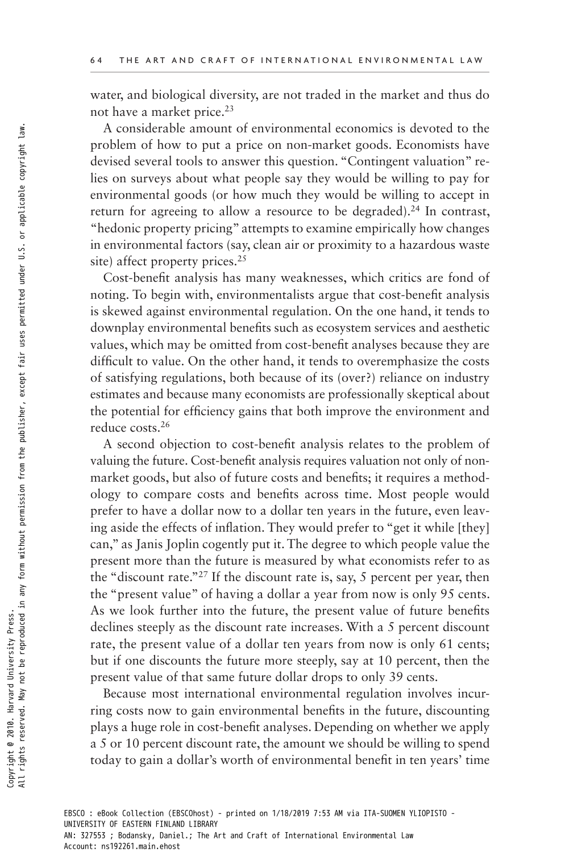water, and biological diversity, are not traded in the market and thus do not have a market price.<sup>23</sup>

A considerable amount of environmental economics is devoted to the problem of how to put a price on non- market goods. Economists have devised several tools to answer this question. "Contingent valuation" relies on surveys about what people say they would be willing to pay for environmental goods (or how much they would be willing to accept in return for agreeing to allow a resource to be degraded).<sup>24</sup> In contrast, "hedonic property pricing" attempts to examine empirically how changes in environmental factors (say, clean air or proximity to a hazardous waste site) affect property prices.<sup>25</sup>

Cost-benefit analysis has many weaknesses, which critics are fond of noting. To begin with, environmentalists argue that cost-benefit analysis is skewed against environmental regulation. On the one hand, it tends to downplay environmental benefits such as ecosystem services and aesthetic values, which may be omitted from cost-benefit analyses because they are difficult to value. On the other hand, it tends to overemphasize the costs of satisfying regulations, both because of its (over?) reliance on industry estimates and because many economists are professionally skeptical about the potential for efficiency gains that both improve the environment and reduce costs.26

A second objection to cost-benefit analysis relates to the problem of valuing the future. Cost-benefit analysis requires valuation not only of nonmarket goods, but also of future costs and benefits; it requires a methodology to compare costs and benefits across time. Most people would prefer to have a dollar now to a dollar ten years in the future, even leaving aside the effects of inflation. They would prefer to "get it while [they] can," as Janis Joplin cogently put it. The degree to which people value the present more than the future is measured by what economists refer to as the "discount rate."27 If the discount rate is, say, 5 percent per year, then the "present value" of having a dollar a year from now is only 95 cents. As we look further into the future, the present value of future benefits declines steeply as the discount rate increases. With a 5 percent discount rate, the present value of a dollar ten years from now is only 61 cents; but if one discounts the future more steeply, say at 10 percent, then the present value of that same future dollar drops to only 39 cents.

Because most international environmental regulation involves incurring costs now to gain environmental benefits in the future, discounting plays a huge role in cost-benefit analyses. Depending on whether we apply a 5 or 10 percent discount rate, the amount we should be willing to spend today to gain a dollar's worth of environmental benefit in ten years' time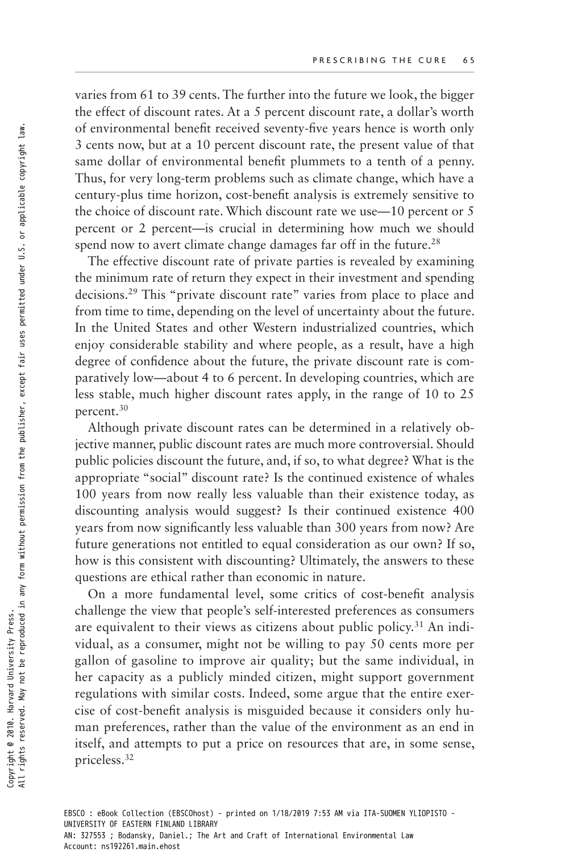varies from 61 to 39 cents. The further into the future we look, the bigger the effect of discount rates. At a 5 percent discount rate, a dollar's worth of environmental benefit received seventy-five years hence is worth only 3 cents now, but at a 10 percent discount rate, the present value of that same dollar of environmental benefit plummets to a tenth of a penny. Thus, for very long-term problems such as climate change, which have a century-plus time horizon, cost-benefit analysis is extremely sensitive to the choice of discount rate. Which discount rate we use— 10 percent or 5 percent or 2 percent—is crucial in determining how much we should spend now to avert climate change damages far off in the future.<sup>28</sup>

The effective discount rate of private parties is revealed by examining the minimum rate of return they expect in their investment and spending decisions.29 This "private discount rate" varies from place to place and from time to time, depending on the level of uncertainty about the future. In the United States and other Western industrialized countries, which enjoy considerable stability and where people, as a result, have a high degree of confidence about the future, the private discount rate is comparatively low— about 4 to 6 percent. In developing countries, which are less stable, much higher discount rates apply, in the range of 10 to 25 percent.30

Although private discount rates can be determined in a relatively objective manner, public discount rates are much more controversial. Should public policies discount the future, and, if so, to what degree? What is the appropriate "social" discount rate? Is the continued existence of whales 100 years from now really less valuable than their existence today, as discounting analysis would suggest? Is their continued existence 400 years from now significantly less valuable than 300 years from now? Are future generations not entitled to equal consideration as our own? If so, how is this consistent with discounting? Ultimately, the answers to these questions are ethical rather than economic in nature.

On a more fundamental level, some critics of cost-benefit analysis challenge the view that people's self-interested preferences as consumers are equivalent to their views as citizens about public policy.31 An individual, as a consumer, might not be willing to pay 50 cents more per gallon of gasoline to improve air quality; but the same individual, in her capacity as a publicly minded citizen, might support government regulations with similar costs. Indeed, some argue that the entire exercise of cost-benefit analysis is misguided because it considers only human preferences, rather than the value of the environment as an end in itself, and attempts to put a price on resources that are, in some sense, priceless.32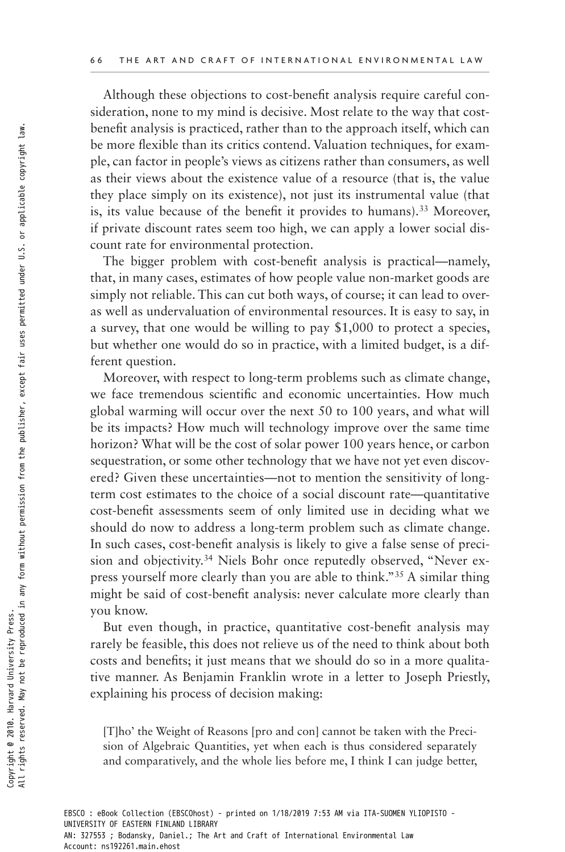Although these objections to cost-benefit analysis require careful consideration, none to my mind is decisive. Most relate to the way that costbenefit analysis is practiced, rather than to the approach itself, which can be more flexible than its critics contend. Valuation techniques, for example, can factor in people's views as citizens rather than consumers, as well as their views about the existence value of a resource (that is, the value they place simply on its existence), not just its instrumental value (that is, its value because of the benefit it provides to humans).<sup>33</sup> Moreover, if private discount rates seem too high, we can apply a lower social discount rate for environmental protection.

The bigger problem with cost-benefit analysis is practical—namely, that, in many cases, estimates of how people value non-market goods are simply not reliable. This can cut both ways, of course; it can lead to overas well as undervaluation of environmental resources. It is easy to say, in a survey, that one would be willing to pay \$1,000 to protect a species, but whether one would do so in practice, with a limited budget, is a different question.

Moreover, with respect to long-term problems such as climate change, we face tremendous scientific and economic uncertainties. How much global warming will occur over the next 50 to 100 years, and what will be its impacts? How much will technology improve over the same time horizon? What will be the cost of solar power 100 years hence, or carbon sequestration, or some other technology that we have not yet even discovered? Given these uncertainties— not to mention the sensitivity of longterm cost estimates to the choice of a social discount rate— quantitative cost-benefit assessments seem of only limited use in deciding what we should do now to address a long-term problem such as climate change. In such cases, cost-benefit analysis is likely to give a false sense of precision and objectivity.<sup>34</sup> Niels Bohr once reputedly observed, "Never express yourself more clearly than you are able to think."35 A similar thing might be said of cost-benefit analysis: never calculate more clearly than you know.

But even though, in practice, quantitative cost-benefit analysis may rarely be feasible, this does not relieve us of the need to think about both costs and benefits; it just means that we should do so in a more qualitative manner. As Benjamin Franklin wrote in a letter to Joseph Priestly, explaining his process of decision making:

[T]ho' the Weight of Reasons [pro and con] cannot be taken with the Precision of Algebraic Quantities, yet when each is thus considered separately and comparatively, and the whole lies before me, I think I can judge better,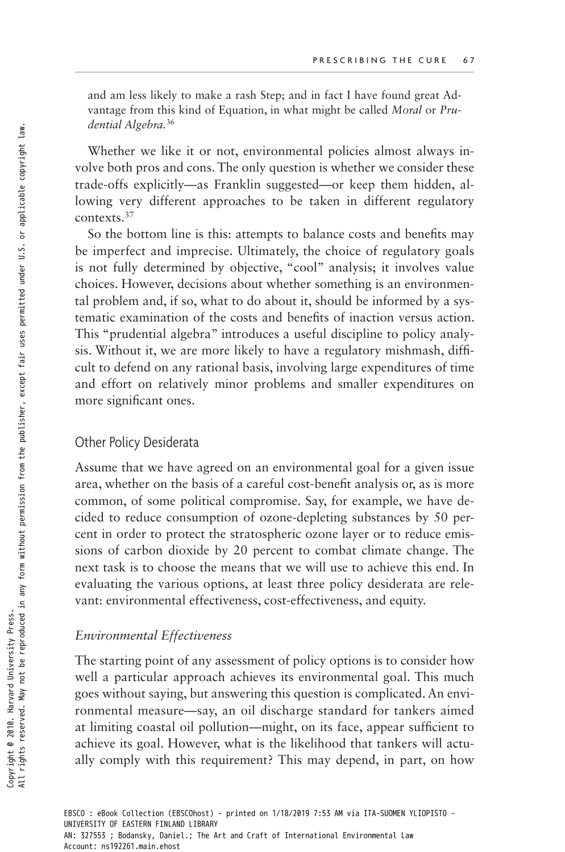and am less likely to make a rash Step; and in fact I have found great Advantage from this kind of Equation, in what might be called *Moral* or *Prudential Algebra.*<sup>36</sup>

Whether we like it or not, environmental policies almost always involve both pros and cons. The only question is whether we consider these trade- offs explicitly— as Franklin suggested— or keep them hidden, allowing very different approaches to be taken in different regulatory contexts.37

So the bottom line is this: attempts to balance costs and benefits may be imperfect and imprecise. Ultimately, the choice of regulatory goals is not fully determined by objective, "cool" analysis; it involves value choices. However, decisions about whether something is an environmental problem and, if so, what to do about it, should be informed by a systematic examination of the costs and benefits of inaction versus action. This "prudential algebra" introduces a useful discipline to policy analysis. Without it, we are more likely to have a regulatory mishmash, difficult to defend on any rational basis, involving large expenditures of time and effort on relatively minor problems and smaller expenditures on more significant ones.

## Other Policy Desiderata

Assume that we have agreed on an environmental goal for a given issue area, whether on the basis of a careful cost-benefit analysis or, as is more common, of some political compromise. Say, for example, we have decided to reduce consumption of ozone- depleting substances by 50 percent in order to protect the stratospheric ozone layer or to reduce emissions of carbon dioxide by 20 percent to combat climate change. The next task is to choose the means that we will use to achieve this end. In evaluating the various options, at least three policy desiderata are relevant: environmental effectiveness, cost-effectiveness, and equity.

# *Environmental Effectiveness*

The starting point of any assessment of policy options is to consider how well a particular approach achieves its environmental goal. This much goes without saying, but answering this question is complicated. An environmental measure—say, an oil discharge standard for tankers aimed at limiting coastal oil pollution—might, on its face, appear sufficient to achieve its goal. However, what is the likelihood that tankers will actually comply with this requirement? This may depend, in part, on how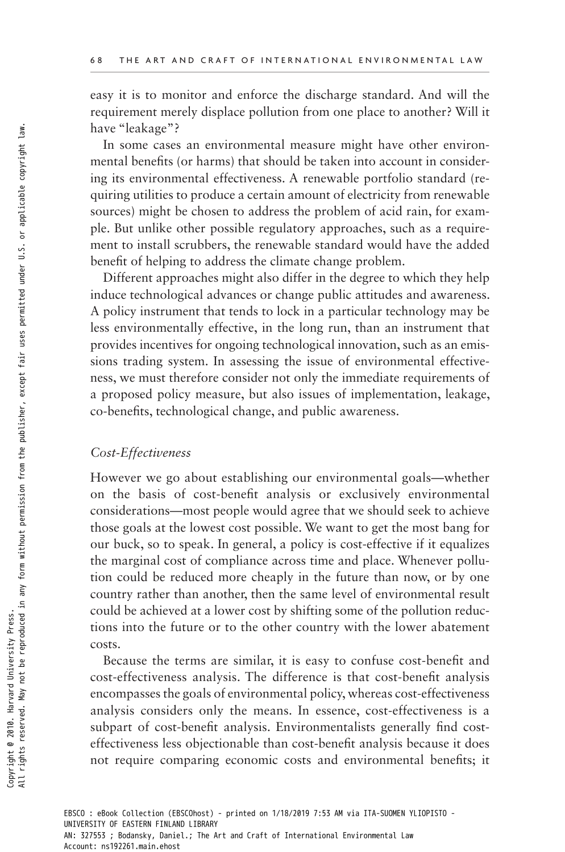easy it is to monitor and enforce the discharge standard. And will the requirement merely displace pollution from one place to another? Will it have "leakage"?

In some cases an environmental measure might have other environmental benefits (or harms) that should be taken into account in considering its environmental effectiveness. A renewable portfolio standard (requiring utilities to produce a certain amount of electricity from renewable sources) might be chosen to address the problem of acid rain, for example. But unlike other possible regulatory approaches, such as a requirement to install scrubbers, the renewable standard would have the added benefit of helping to address the climate change problem.

Different approaches might also differ in the degree to which they help induce technological advances or change public attitudes and awareness. A policy instrument that tends to lock in a particular technology may be less environmentally effective, in the long run, than an instrument that provides incentives for ongoing technological innovation, such as an emissions trading system. In assessing the issue of environmental effectiveness, we must therefore consider not only the immediate requirements of a proposed policy measure, but also issues of implementation, leakage, co-benefits, technological change, and public awareness.

## *Cost- Effectiveness*

However we go about establishing our environmental goals— whether on the basis of cost-benefit analysis or exclusively environmental considerations— most people would agree that we should seek to achieve those goals at the lowest cost possible. We want to get the most bang for our buck, so to speak. In general, a policy is cost- effective if it equalizes the marginal cost of compliance across time and place. Whenever pollution could be reduced more cheaply in the future than now, or by one country rather than another, then the same level of environmental result could be achieved at a lower cost by shifting some of the pollution reductions into the future or to the other country with the lower abatement costs.

Because the terms are similar, it is easy to confuse cost-benefit and cost-effectiveness analysis. The difference is that cost-benefit analysis encompasses the goals of environmental policy, whereas cost-effectiveness analysis considers only the means. In essence, cost-effectiveness is a subpart of cost-benefit analysis. Environmentalists generally find costeffectiveness less objectionable than cost-benefit analysis because it does not require comparing economic costs and environmental benefits; it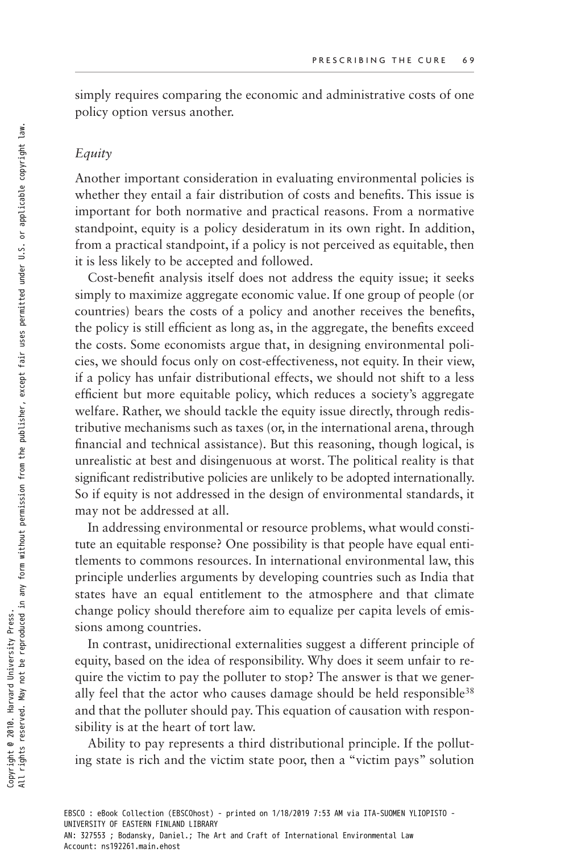simply requires comparing the economic and administrative costs of one policy option versus another.

# *Equity*

Another important consideration in evaluating environmental policies is whether they entail a fair distribution of costs and benefits. This issue is important for both normative and practical reasons. From a normative standpoint, equity is a policy desideratum in its own right. In addition, from a practical standpoint, if a policy is not perceived as equitable, then it is less likely to be accepted and followed.

Cost-benefit analysis itself does not address the equity issue; it seeks simply to maximize aggregate economic value. If one group of people (or countries) bears the costs of a policy and another receives the benefits, the policy is still efficient as long as, in the aggregate, the benefits exceed the costs. Some economists argue that, in designing environmental policies, we should focus only on cost- effectiveness, not equity. In their view, if a policy has unfair distributional effects, we should not shift to a less efficient but more equitable policy, which reduces a society's aggregate welfare. Rather, we should tackle the equity issue directly, through redistributive mechanisms such as taxes (or, in the international arena, through financial and technical assistance). But this reasoning, though logical, is unrealistic at best and disingenuous at worst. The political reality is that significant redistributive policies are unlikely to be adopted internationally. So if equity is not addressed in the design of environmental standards, it may not be addressed at all.

In addressing environmental or resource problems, what would constitute an equitable response? One possibility is that people have equal entitlements to commons resources. In international environmental law, this principle underlies arguments by developing countries such as India that states have an equal entitlement to the atmosphere and that climate change policy should therefore aim to equalize per capita levels of emissions among countries.

In contrast, unidirectional externalities suggest a different principle of equity, based on the idea of responsibility. Why does it seem unfair to require the victim to pay the polluter to stop? The answer is that we generally feel that the actor who causes damage should be held responsible<sup>38</sup> and that the polluter should pay. This equation of causation with responsibility is at the heart of tort law.

Ability to pay represents a third distributional principle. If the polluting state is rich and the victim state poor, then a "victim pays" solution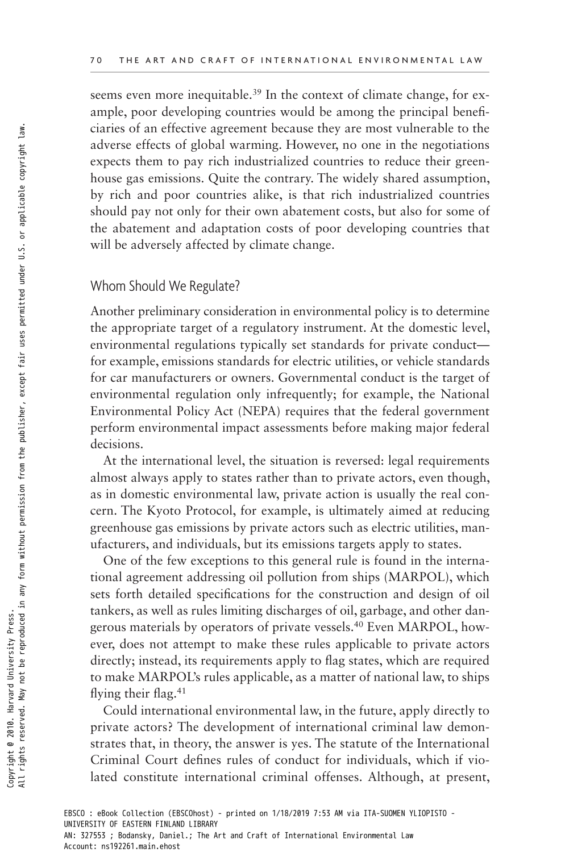seems even more inequitable.<sup>39</sup> In the context of climate change, for example, poor developing countries would be among the principal beneficiaries of an effective agreement because they are most vulnerable to the adverse effects of global warming. However, no one in the negotiations expects them to pay rich industrialized countries to reduce their greenhouse gas emissions. Quite the contrary. The widely shared assumption, by rich and poor countries alike, is that rich industrialized countries should pay not only for their own abatement costs, but also for some of the abatement and adaptation costs of poor developing countries that will be adversely affected by climate change.

# Whom Should We Regulate?

Another preliminary consideration in environmental policy is to determine the appropriate target of a regulatory instrument. At the domestic level, environmental regulations typically set standards for private conduct for example, emissions standards for electric utilities, or vehicle standards for car manufacturers or owners. Governmental conduct is the target of environmental regulation only infrequently; for example, the National Environmental Policy Act (NEPA) requires that the federal government perform environmental impact assessments before making major federal decisions.

At the international level, the situation is reversed: legal requirements almost always apply to states rather than to private actors, even though, as in domestic environmental law, private action is usually the real concern. The Kyoto Protocol, for example, is ultimately aimed at reducing green house gas emissions by private actors such as electric utilities, manufacturers, and individuals, but its emissions targets apply to states.

One of the few exceptions to this general rule is found in the international agreement addressing oil pollution from ships (MARPOL), which sets forth detailed specifications for the construction and design of oil tankers, as well as rules limiting discharges of oil, garbage, and other dangerous materials by operators of private vessels.40 Even MARPOL, however, does not attempt to make these rules applicable to private actors directly; instead, its requirements apply to flag states, which are required to make MARPOL's rules applicable, as a matter of national law, to ships flying their flag. $41$ 

Could international environmental law, in the future, apply directly to private actors? The development of international criminal law demonstrates that, in theory, the answer is yes. The statute of the International Criminal Court defines rules of conduct for individuals, which if violated constitute international criminal offenses. Although, at present,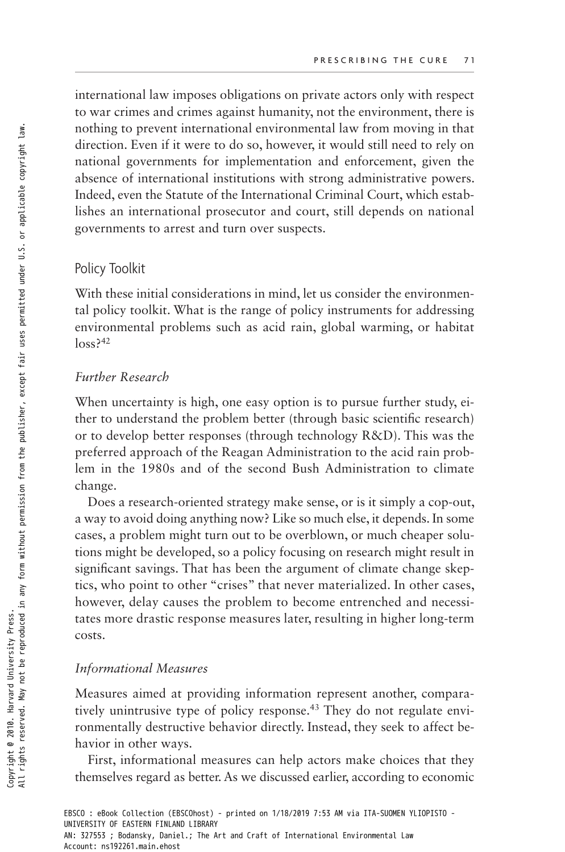international law imposes obligations on private actors only with respect to war crimes and crimes against humanity, not the environment, there is nothing to prevent international environmental law from moving in that direction. Even if it were to do so, however, it would still need to rely on national governments for implementation and enforcement, given the absence of international institutions with strong administrative powers. Indeed, even the Statute of the International Criminal Court, which establishes an international prosecutor and court, still depends on national governments to arrest and turn over suspects.

# Policy Toolkit

With these initial considerations in mind, let us consider the environmental policy toolkit. What is the range of policy instruments for addressing environmental problems such as acid rain, global warming, or habitat  $loss$ ?<sup>42</sup>

## *Further Research*

When uncertainty is high, one easy option is to pursue further study, either to understand the problem better (through basic scientific research) or to develop better responses (through technology R&D). This was the preferred approach of the Reagan Administration to the acid rain problem in the 1980s and of the second Bush Administration to climate change.

Does a research-oriented strategy make sense, or is it simply a cop-out, a way to avoid doing anything now? Like so much else, it depends. In some cases, a problem might turn out to be overblown, or much cheaper solutions might be developed, so a policy focusing on research might result in significant savings. That has been the argument of climate change skeptics, who point to other "crises" that never materialized. In other cases, however, delay causes the problem to become entrenched and necessitates more drastic response measures later, resulting in higher long-term costs.

## *Informational Mea sures*

Measures aimed at providing information represent another, comparatively unintrusive type of policy response.<sup>43</sup> They do not regulate environmentally destructive behavior directly. Instead, they seek to affect behavior in other ways.

First, informational measures can help actors make choices that they themselves regard as better. As we discussed earlier, according to economic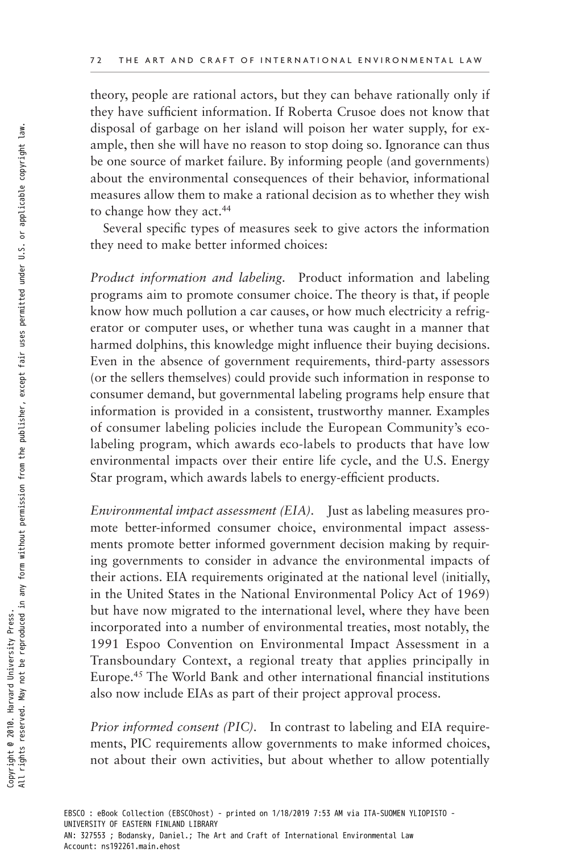theory, people are rational actors, but they can behave rationally only if they have sufficient information. If Roberta Crusoe does not know that disposal of garbage on her island will poison her water supply, for example, then she will have no reason to stop doing so. Ignorance can thus be one source of market failure. By informing people (and governments) about the environmental consequences of their behavior, informational mea sures allow them to make a rational decision as to whether they wish to change how they act.<sup>44</sup>

Several specific types of measures seek to give actors the information they need to make better informed choices:

*Product information and labeling.* Product information and labeling programs aim to promote consumer choice. The theory is that, if people know how much pollution a car causes, or how much electricity a refrigerator or computer uses, or whether tuna was caught in a manner that harmed dolphins, this knowledge might influence their buying decisions. Even in the absence of government requirements, third- party assessors (or the sellers themselves) could provide such information in response to consumer demand, but governmental labeling programs help ensure that information is provided in a consistent, trustworthy manner. Examples of consumer labeling policies include the European Community's ecolabeling program, which awards eco-labels to products that have low environmental impacts over their entire life cycle, and the U.S. Energy Star program, which awards labels to energy-efficient products.

*Environmental impact assessment (EIA).* Just as labeling measures promote better-informed consumer choice, environmental impact assessments promote better informed government decision making by requiring governments to consider in advance the environmental impacts of their actions. EIA requirements originated at the national level (initially, in the United States in the National Environmental Policy Act of 1969) but have now migrated to the international level, where they have been incorporated into a number of environmental treaties, most notably, the 1991 Espoo Convention on Environmental Impact Assessment in a Transboundary Context, a regional treaty that applies principally in Europe.<sup>45</sup> The World Bank and other international financial institutions also now include EIAs as part of their project approval process.

*Prior informed consent (PIC)*. In contrast to labeling and EIA requirements, PIC requirements allow governments to make informed choices, not about their own activities, but about whether to allow potentially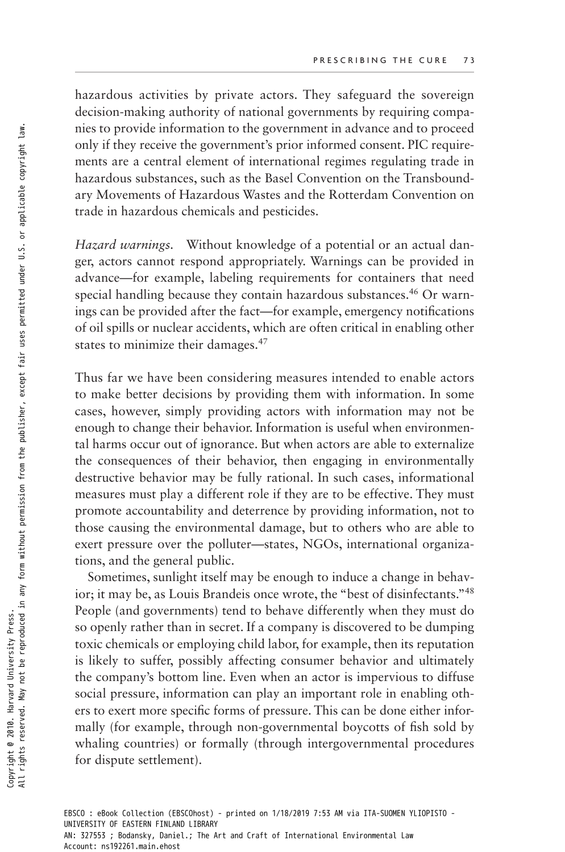hazardous activities by private actors. They safeguard the sovereign decision-making authority of national governments by requiring companies to provide information to the government in advance and to proceed only if they receive the government's prior informed consent. PIC requirements are a central element of international regimes regulating trade in hazardous substances, such as the Basel Convention on the Transboundary Movements of Hazardous Wastes and the Rotterdam Convention on trade in hazardous chemicals and pesticides.

*Hazard warnings.* Without knowledge of a potential or an actual danger, actors cannot respond appropriately. Warnings can be provided in advance— for example, labeling requirements for containers that need special handling because they contain hazardous substances.<sup>46</sup> Or warnings can be provided after the fact—for example, emergency notifications of oil spills or nuclear accidents, which are often critical in enabling other states to minimize their damages.<sup>47</sup>

Thus far we have been considering measures intended to enable actors to make better decisions by providing them with information. In some cases, however, simply providing actors with information may not be enough to change their behavior. Information is useful when environmental harms occur out of ignorance. But when actors are able to externalize the consequences of their behavior, then engaging in environmentally destructive behavior may be fully rational. In such cases, informational measures must play a different role if they are to be effective. They must promote accountability and deterrence by providing information, not to those causing the environmental damage, but to others who are able to exert pressure over the polluter—states, NGOs, international organizations, and the general public.

Sometimes, sunlight itself may be enough to induce a change in behavior; it may be, as Louis Brandeis once wrote, the "best of disinfectants."48 People (and governments) tend to behave differently when they must do so openly rather than in secret. If a company is discovered to be dumping toxic chemicals or employing child labor, for example, then its reputation is likely to suffer, possibly affecting consumer behavior and ultimately the company's bottom line. Even when an actor is impervious to diffuse social pressure, information can play an important role in enabling others to exert more specific forms of pressure. This can be done either informally (for example, through non-governmental boycotts of fish sold by whaling countries) or formally (through intergovernmental procedures for dispute settlement).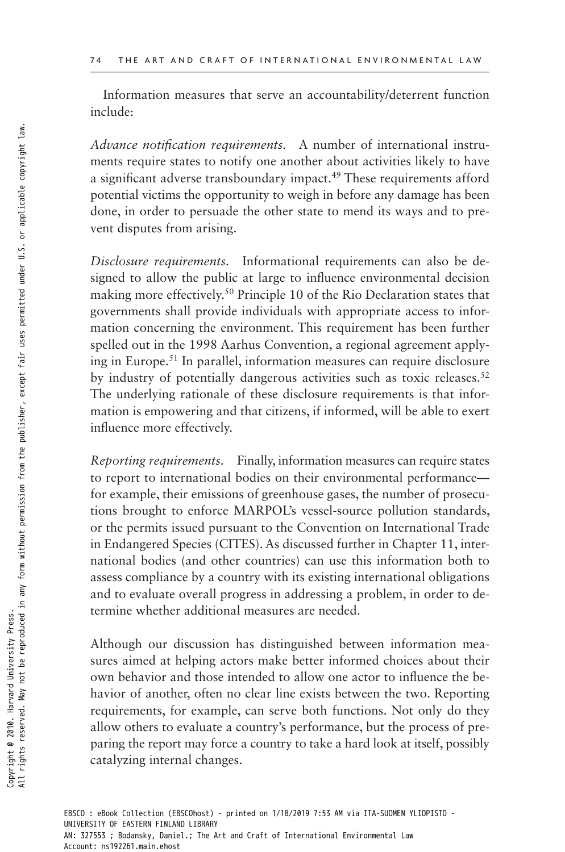Information measures that serve an accountability/deterrent function include:

Advance notification requirements. A number of international instruments require states to notify one another about activities likely to have a significant adverse transboundary impact.<sup>49</sup> These requirements afford potential victims the opportunity to weigh in before any damage has been done, in order to persuade the other state to mend its ways and to prevent disputes from arising.

*Disclosure requirements.* Informational requirements can also be designed to allow the public at large to influence environmental decision making more effectively.50 Principle 10 of the Rio Declaration states that governments shall provide individuals with appropriate access to information concerning the environment. This requirement has been further spelled out in the 1998 Aarhus Convention, a regional agreement applying in Europe.<sup>51</sup> In parallel, information measures can require disclosure by industry of potentially dangerous activities such as toxic releases.<sup>52</sup> The underlying rationale of these disclosure requirements is that information is empowering and that citizens, if informed, will be able to exert influence more effectively.

*Reporting requirements.* Finally, information measures can require states to report to international bodies on their environmental performance for example, their emissions of greenhouse gases, the number of prosecutions brought to enforce MARPOL's vessel- source pollution standards, or the permits issued pursuant to the Convention on International Trade in Endangered Species (CITES). As discussed further in Chapter 11, international bodies (and other countries) can use this information both to assess compliance by a country with its existing international obligations and to evaluate overall progress in addressing a problem, in order to determine whether additional measures are needed.

Although our discussion has distinguished between information measures aimed at helping actors make better informed choices about their own behavior and those intended to allow one actor to influence the behavior of another, often no clear line exists between the two. Reporting requirements, for example, can serve both functions. Not only do they allow others to evaluate a country's performance, but the process of preparing the report may force a country to take a hard look at itself, possibly catalyzing internal changes.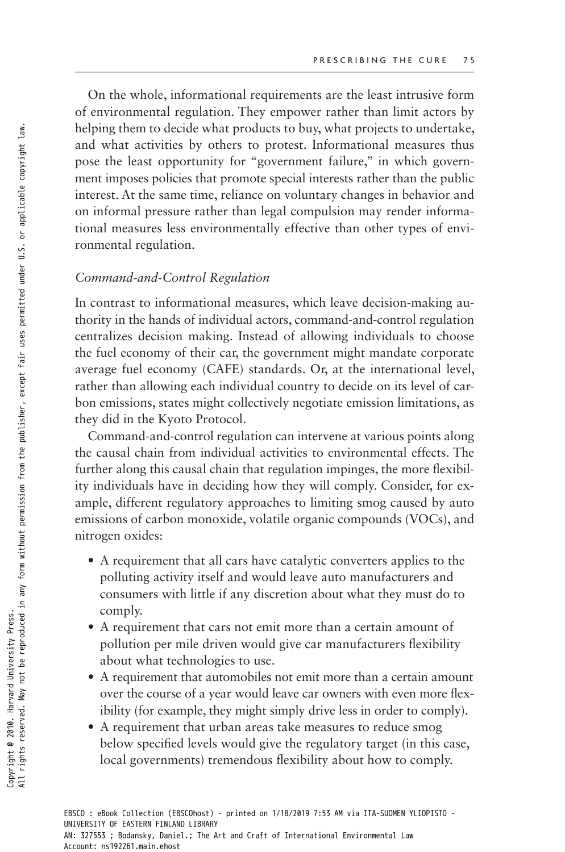On the whole, informational requirements are the least intrusive form of environmental regulation. They empower rather than limit actors by helping them to decide what products to buy, what projects to undertake, and what activities by others to protest. Informational measures thus pose the least opportunity for "government failure," in which government imposes policies that promote special interests rather than the public interest. At the same time, reliance on voluntary changes in behavior and on informal pressure rather than legal compulsion may render informational measures less environmentally effective than other types of environmental regulation.

## *Command- and- Control Regulation*

In contrast to informational measures, which leave decision-making authority in the hands of individual actors, command-and-control regulation centralizes decision making. Instead of allowing individuals to choose the fuel economy of their car, the government might mandate corporate average fuel economy (CAFE) standards. Or, at the international level, rather than allowing each individual country to decide on its level of carbon emissions, states might collectively negotiate emission limitations, as they did in the Kyoto Protocol.

Command-and-control regulation can intervene at various points along the causal chain from individual activities to environmental effects. The further along this causal chain that regulation impinges, the more flexibility individuals have in deciding how they will comply. Consider, for example, different regulatory approaches to limiting smog caused by auto emissions of carbon monoxide, volatile organic compounds (VOCs), and nitrogen oxides:

- A requirement that all cars have catalytic converters applies to the polluting activity itself and would leave auto manufacturers and consumers with little if any discretion about what they must do to comply.
- A requirement that cars not emit more than a certain amount of pollution per mile driven would give car manufacturers flexibility about what technologies to use.
- A requirement that automobiles not emit more than a certain amount over the course of a year would leave car owners with even more flexibility (for example, they might simply drive less in order to comply).
- A requirement that urban areas take measures to reduce smog below specified levels would give the regulatory target (in this case, local governments) tremendous flexibility about how to comply.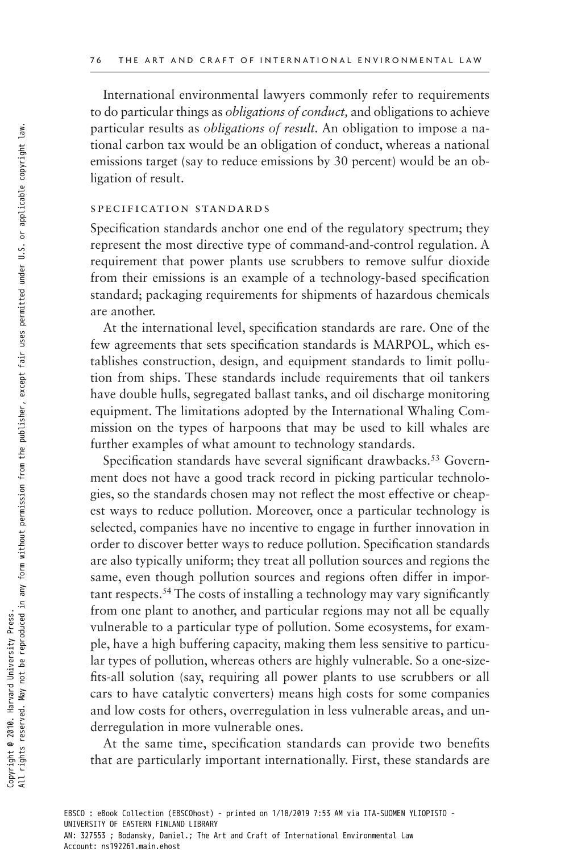International environmental lawyers commonly refer to requirements to do particular things as *obligations of conduct*, and obligations to achieve particular results as *obligations of result*. An obligation to impose a national carbon tax would be an obligation of conduct, whereas a national emissions target (say to reduce emissions by 30 percent) would be an obligation of result.

## specification standards

Specification standards anchor one end of the regulatory spectrum; they represent the most directive type of command-and-control regulation. A requirement that power plants use scrubbers to remove sulfur dioxide from their emissions is an example of a technology-based specification standard; packaging requirements for shipments of hazardous chemicals are another.

At the international level, specification standards are rare. One of the few agreements that sets specification standards is MARPOL, which establishes construction, design, and equipment standards to limit pollution from ships. These standards include requirements that oil tankers have double hulls, segregated ballast tanks, and oil discharge monitoring equipment. The limitations adopted by the International Whaling Commission on the types of harpoons that may be used to kill whales are further examples of what amount to technology standards.

Specification standards have several significant drawbacks.<sup>53</sup> Government does not have a good track record in picking particular technologies, so the standards chosen may not reflect the most effective or cheapest ways to reduce pollution. Moreover, once a particular technology is selected, companies have no incentive to engage in further innovation in order to discover better ways to reduce pollution. Specification standards are also typically uniform; they treat all pollution sources and regions the same, even though pollution sources and regions often differ in impor- $\tau$  tant respects.<sup>54</sup> The costs of installing a technology may vary significantly from one plant to another, and particular regions may not all be equally vulnerable to a particular type of pollution. Some ecosystems, for example, have a high buffering capacity, making them less sensitive to particular types of pollution, whereas others are highly vulnerable. So a one-sizefits-all solution (say, requiring all power plants to use scrubbers or all cars to have catalytic converters) means high costs for some companies and low costs for others, overregulation in less vulnerable areas, and underregulation in more vulnerable ones.

At the same time, specification standards can provide two benefits that are particularly important internationally. First, these standards are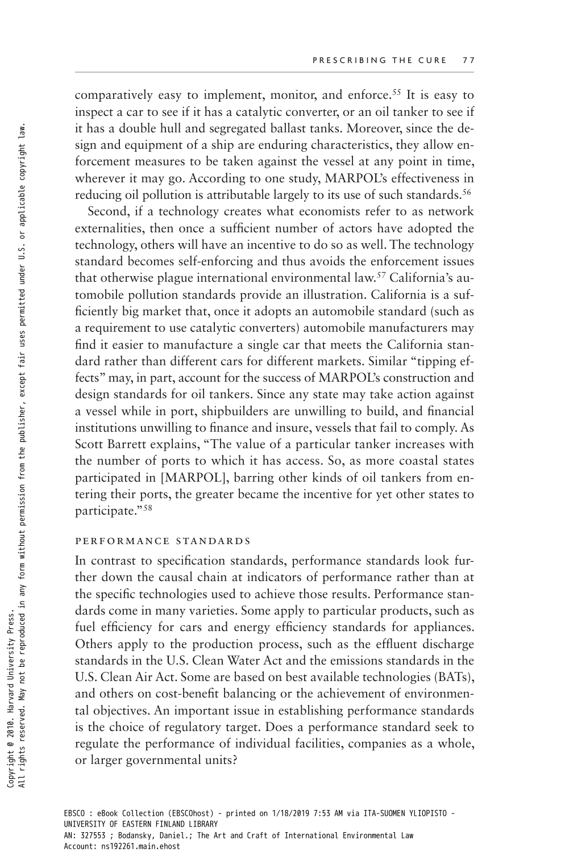comparatively easy to implement, monitor, and enforce.<sup>55</sup> It is easy to inspect a car to see if it has a catalytic converter, or an oil tanker to see if it has a double hull and segregated ballast tanks. Moreover, since the design and equipment of a ship are enduring characteristics, they allow enforcement mea sures to be taken against the vessel at any point in time, wherever it may go. According to one study, MARPOL's effectiveness in reducing oil pollution is attributable largely to its use of such standards.<sup>56</sup>

Second, if a technology creates what economists refer to as network externalities, then once a sufficient number of actors have adopted the technology, others will have an incentive to do so as well. The technology standard becomes self-enforcing and thus avoids the enforcement issues that otherwise plague international environmental law.57 California's automobile pollution standards provide an illustration. California is a sufficiently big market that, once it adopts an automobile standard (such as a requirement to use catalytic converters) automobile manufacturers may find it easier to manufacture a single car that meets the California standard rather than different cars for different markets. Similar "tipping effects" may, in part, account for the success of MARPOL's construction and design standards for oil tankers. Since any state may take action against a vessel while in port, shipbuilders are unwilling to build, and financial institutions unwilling to finance and insure, vessels that fail to comply. As Scott Barrett explains, "The value of a particular tanker increases with the number of ports to which it has access. So, as more coastal states participated in [MARPOL], barring other kinds of oil tankers from entering their ports, the greater became the incentive for yet other states to participate."58

#### per for mance standards

In contrast to specification standards, performance standards look further down the causal chain at indicators of performance rather than at the specific technologies used to achieve those results. Performance standards come in many varieties. Some apply to particular products, such as fuel efficiency for cars and energy efficiency standards for appliances. Others apply to the production process, such as the effluent discharge standards in the U.S. Clean Water Act and the emissions standards in the U.S. Clean Air Act. Some are based on best available technologies (BATs), and others on cost-benefit balancing or the achievement of environmental objectives. An important issue in establishing performance standards is the choice of regulatory target. Does a performance standard seek to regulate the performance of individual facilities, companies as a whole, or larger governmental units?

EBSCO : eBook Collection (EBSCOhost) - printed on 1/18/2019 7:53 AM via ITA-SUOMEN YLIOPISTO - UNIVERSITY OF EASTERN FINLAND LIBRARY AN: 327553 ; Bodansky, Daniel.; The Art and Craft of International Environmental Law Account: ns192261.main.ehost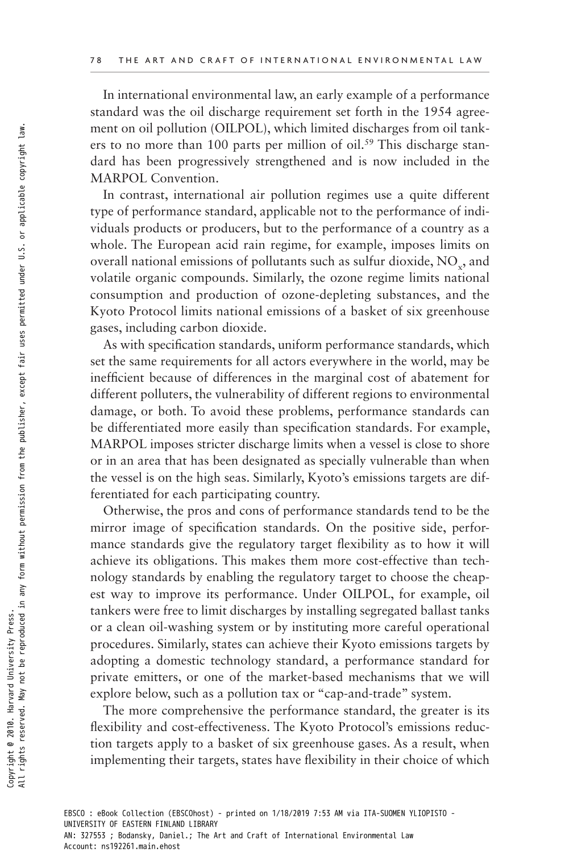In international environmental law, an early example of a performance standard was the oil discharge requirement set forth in the 1954 agreement on oil pollution (OILPOL), which limited discharges from oil tankers to no more than 100 parts per million of oil.<sup>59</sup> This discharge standard has been progressively strengthened and is now included in the MARPOL Convention.

In contrast, international air pollution regimes use a quite different type of performance standard, applicable not to the performance of individuals products or producers, but to the performance of a country as a whole. The European acid rain regime, for example, imposes limits on overall national emissions of pollutants such as sulfur dioxide, NO<sub>x</sub>, and volatile organic compounds. Similarly, the ozone regime limits national consumption and production of ozone- depleting substances, and the Kyoto Protocol limits national emissions of a basket of six greenhouse gases, including carbon dioxide.

As with specification standards, uniform performance standards, which set the same requirements for all actors everywhere in the world, may be inefficient because of differences in the marginal cost of abatement for different polluters, the vulnerability of different regions to environmental damage, or both. To avoid these problems, performance standards can be differentiated more easily than specification standards. For example, MARPOL imposes stricter discharge limits when a vessel is close to shore or in an area that has been designated as specially vulnerable than when the vessel is on the high seas. Similarly, Kyoto's emissions targets are differentiated for each participating country.

Otherwise, the pros and cons of performance standards tend to be the mirror image of specification standards. On the positive side, performance standards give the regulatory target flexibility as to how it will achieve its obligations. This makes them more cost-effective than technology standards by enabling the regulatory target to choose the cheapest way to improve its performance. Under OILPOL, for example, oil tankers were free to limit discharges by installing segregated ballast tanks or a clean oil- washing system or by instituting more careful operational procedures. Similarly, states can achieve their Kyoto emissions targets by adopting a domestic technology standard, a performance standard for private emitters, or one of the market-based mechanisms that we will explore below, such as a pollution tax or "cap-and-trade" system.

The more comprehensive the performance standard, the greater is its flexibility and cost-effectiveness. The Kyoto Protocol's emissions reduction targets apply to a basket of six greenhouse gases. As a result, when implementing their targets, states have flexibility in their choice of which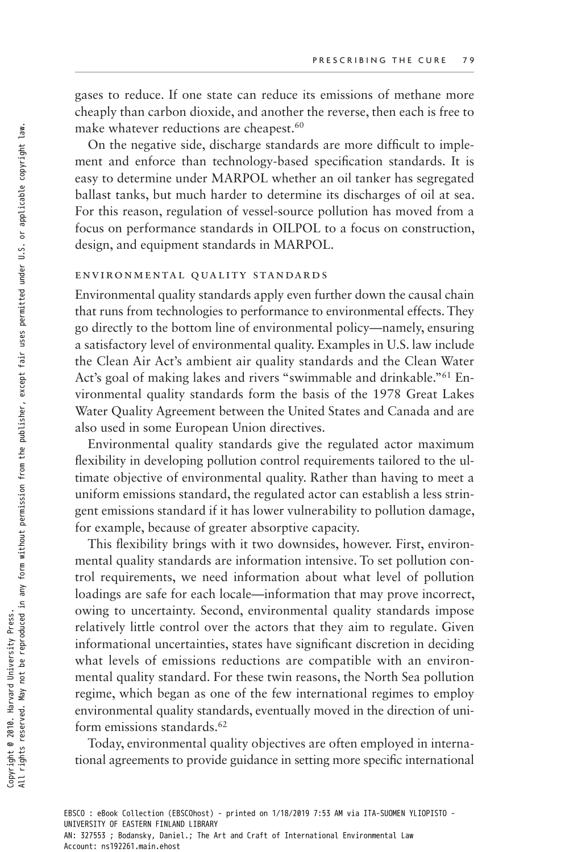gases to reduce. If one state can reduce its emissions of methane more cheaply than carbon dioxide, and another the reverse, then each is free to make whatever reductions are cheapest.<sup>60</sup>

On the negative side, discharge standards are more difficult to implement and enforce than technology-based specification standards. It is easy to determine under MARPOL whether an oil tanker has segregated ballast tanks, but much harder to determine its discharges of oil at sea. For this reason, regulation of vessel- source pollution has moved from a focus on performance standards in OILPOL to a focus on construction, design, and equipment standards in MARPOL.

#### environmental quality standards

Environmental quality standards apply even further down the causal chain that runs from technologies to performance to environmental effects. They go directly to the bottom line of environmental policy— namely, ensuring a satisfactory level of environmental quality. Examples in U.S. law include the Clean Air Act's ambient air quality standards and the Clean Water Act's goal of making lakes and rivers "swimmable and drinkable."61 Environmental quality standards form the basis of the 1978 Great Lakes Water Quality Agreement between the United States and Canada and are also used in some European Union directives.

Environmental quality standards give the regulated actor maximum flexibility in developing pollution control requirements tailored to the ultimate objective of environmental quality. Rather than having to meet a uniform emissions standard, the regulated actor can establish a less stringent emissions standard if it has lower vulnerability to pollution damage, for example, because of greater absorptive capacity.

This flexibility brings with it two downsides, however. First, environmental quality standards are information intensive. To set pollution control requirements, we need information about what level of pollution loadings are safe for each locale—information that may prove incorrect, owing to uncertainty. Second, environmental quality standards impose relatively little control over the actors that they aim to regulate. Given informational uncertainties, states have significant discretion in deciding what levels of emissions reductions are compatible with an environmental quality standard. For these twin reasons, the North Sea pollution regime, which began as one of the few international regimes to employ environmental quality standards, eventually moved in the direction of uniform emissions standards.62

Today, environmental quality objectives are often employed in international agreements to provide guidance in setting more specific international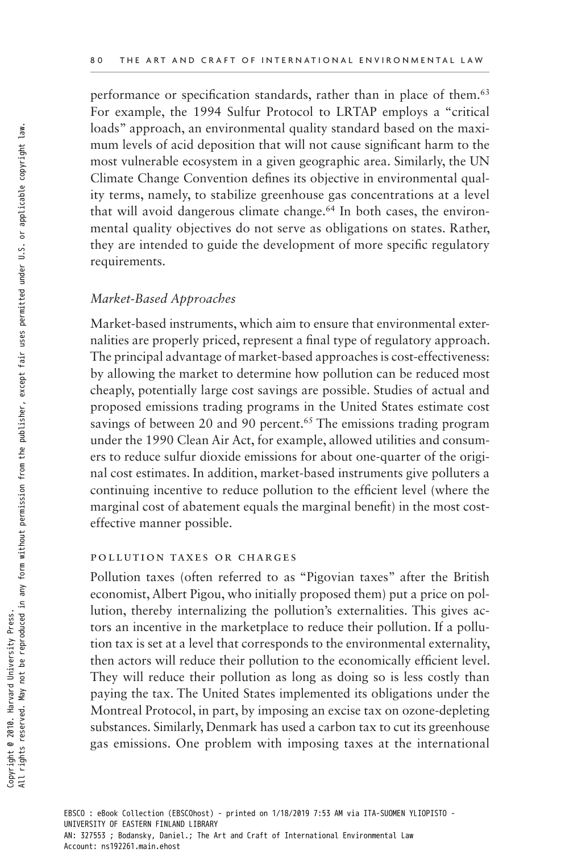performance or specification standards, rather than in place of them.<sup>63</sup> For example, the 1994 Sulfur Protocol to LRTAP employs a "critical loads" approach, an environmental quality standard based on the maximum levels of acid deposition that will not cause significant harm to the most vulnerable ecosystem in a given geographic area. Similarly, the UN Climate Change Convention defines its objective in environmental quality terms, namely, to stabilize greenhouse gas concentrations at a level that will avoid dangerous climate change.<sup>64</sup> In both cases, the environmental quality objectives do not serve as obligations on states. Rather, they are intended to guide the development of more specific regulatory requirements.

## *Market- Based Approaches*

Market-based instruments, which aim to ensure that environmental externalities are properly priced, represent a final type of regulatory approach. The principal advantage of market-based approaches is cost-effectiveness: by allowing the market to determine how pollution can be reduced most cheaply, potentially large cost savings are possible. Studies of actual and proposed emissions trading programs in the United States estimate cost savings of between 20 and 90 percent.<sup>65</sup> The emissions trading program under the 1990 Clean Air Act, for example, allowed utilities and consumers to reduce sulfur dioxide emissions for about one- quarter of the original cost estimates. In addition, market- based instruments give polluters a continuing incentive to reduce pollution to the efficient level (where the marginal cost of abatement equals the marginal benefit) in the most costeffective manner possible.

## pollution taxes or charges

Pollution taxes (often referred to as "Pigovian taxes" after the British economist, Albert Pigou, who initially proposed them) put a price on pollution, thereby internalizing the pollution's externalities. This gives actors an incentive in the marketplace to reduce their pollution. If a pollution tax is set at a level that corresponds to the environmental externality, then actors will reduce their pollution to the economically efficient level. They will reduce their pollution as long as doing so is less costly than paying the tax. The United States implemented its obligations under the Montreal Protocol, in part, by imposing an excise tax on ozone- depleting substances. Similarly, Denmark has used a carbon tax to cut its greenhouse gas emissions. One problem with imposing taxes at the international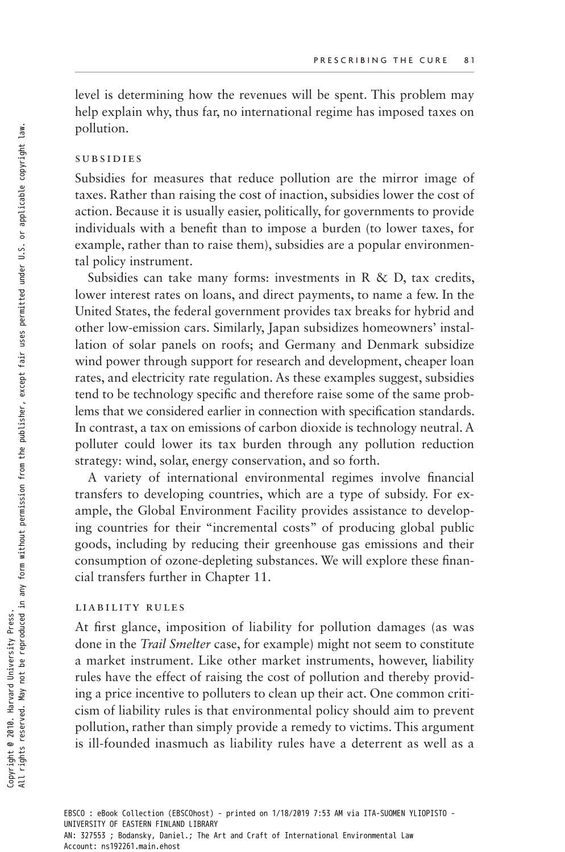level is determining how the revenues will be spent. This problem may help explain why, thus far, no international regime has imposed taxes on pollution.

#### subsidies

Subsidies for measures that reduce pollution are the mirror image of taxes. Rather than raising the cost of inaction, subsidies lower the cost of action. Because it is usually easier, politically, for governments to provide individuals with a benefit than to impose a burden (to lower taxes, for example, rather than to raise them), subsidies are a popular environmental policy instrument.

Subsidies can take many forms: investments in R & D, tax credits, lower interest rates on loans, and direct payments, to name a few. In the United States, the federal government provides tax breaks for hybrid and other low- emission cars. Similarly, Japan subsidizes homeowners' installation of solar panels on roofs; and Germany and Denmark subsidize wind power through support for research and development, cheaper loan rates, and electricity rate regulation. As these examples suggest, subsidies tend to be technology specific and therefore raise some of the same problems that we considered earlier in connection with specification standards. In contrast, a tax on emissions of carbon dioxide is technology neutral. A polluter could lower its tax burden through any pollution reduction strategy: wind, solar, energy conservation, and so forth.

A variety of international environmental regimes involve financial transfers to developing countries, which are a type of subsidy. For example, the Global Environment Facility provides assistance to developing countries for their "incremental costs" of producing global public goods, including by reducing their green house gas emissions and their consumption of ozone-depleting substances. We will explore these financial transfers further in Chapter 11.

#### liability rules

At first glance, imposition of liability for pollution damages (as was done in the *Trail Smelter* case, for example) might not seem to constitute a market instrument. Like other market instruments, however, liability rules have the effect of raising the cost of pollution and thereby providing a price incentive to polluters to clean up their act. One common criticism of liability rules is that environmental policy should aim to prevent pollution, rather than simply provide a remedy to victims. This argument is ill- founded inasmuch as liability rules have a deterrent as well as a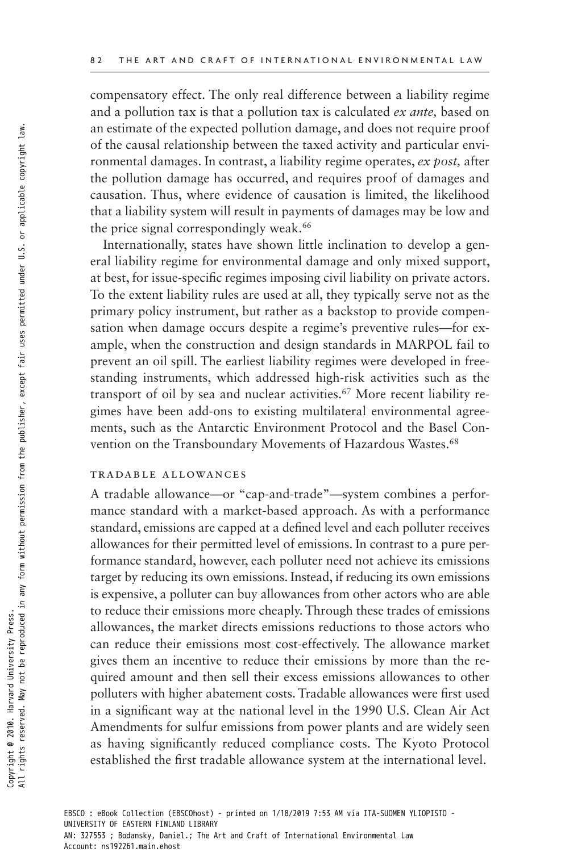compensatory effect. The only real difference between a liability regime and a pollution tax is that a pollution tax is calculated *ex ante,* based on an estimate of the expected pollution damage, and does not require proof of the causal relationship between the taxed activity and particular environmental damages. In contrast, a liability regime operates, *ex post,* after the pollution damage has occurred, and requires proof of damages and causation. Thus, where evidence of causation is limited, the likelihood that a liability system will result in payments of damages may be low and the price signal correspondingly weak.<sup>66</sup>

Internationally, states have shown little inclination to develop a general liability regime for environmental damage and only mixed support, at best, for issue-specific regimes imposing civil liability on private actors. To the extent liability rules are used at all, they typically serve not as the primary policy instrument, but rather as a backstop to provide compensation when damage occurs despite a regime's preventive rules—for example, when the construction and design standards in MARPOL fail to prevent an oil spill. The earliest liability regimes were developed in freestanding instruments, which addressed high-risk activities such as the transport of oil by sea and nuclear activities.<sup>67</sup> More recent liability regimes have been add-ons to existing multilateral environmental agreements, such as the Antarctic Environment Protocol and the Basel Convention on the Transboundary Movements of Hazardous Wastes.<sup>68</sup>

#### tradable allowances

A tradable allowance—or "cap-and-trade"—system combines a performance standard with a market-based approach. As with a performance standard, emissions are capped at a defined level and each polluter receives allowances for their permitted level of emissions. In contrast to a pure performance standard, however, each polluter need not achieve its emissions target by reducing its own emissions. Instead, if reducing its own emissions is expensive, a polluter can buy allowances from other actors who are able to reduce their emissions more cheaply. Through these trades of emissions allowances, the market directs emissions reductions to those actors who can reduce their emissions most cost-effectively. The allowance market gives them an incentive to reduce their emissions by more than the required amount and then sell their excess emissions allowances to other polluters with higher abatement costs. Tradable allowances were first used in a significant way at the national level in the 1990 U.S. Clean Air Act Amendments for sulfur emissions from power plants and are widely seen as having significantly reduced compliance costs. The Kyoto Protocol established the first tradable allowance system at the international level.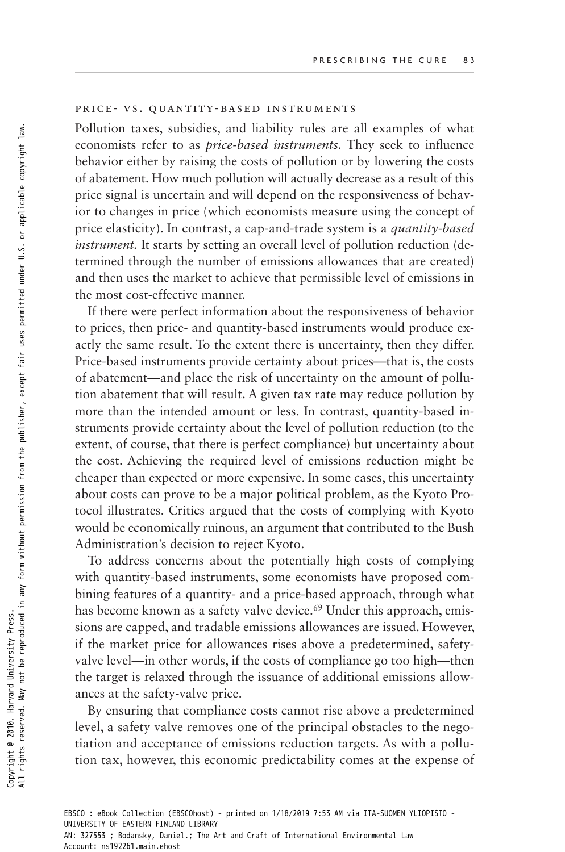#### price- vs. quantity- based instruments

Pollution taxes, subsidies, and liability rules are all examples of what economists refer to as *price-based instruments*. They seek to influence behavior either by raising the costs of pollution or by lowering the costs of abatement. How much pollution will actually decrease as a result of this price signal is uncertain and will depend on the responsiveness of behavior to changes in price (which economists measure using the concept of price elasticity). In contrast, a cap-and-trade system is a *quantity-based instrument*. It starts by setting an overall level of pollution reduction (determined through the number of emissions allowances that are created) and then uses the market to achieve that permissible level of emissions in the most cost-effective manner.

If there were perfect information about the responsiveness of behavior to prices, then price- and quantity- based instruments would produce exactly the same result. To the extent there is uncertainty, then they differ. Price- based instruments provide certainty about prices— that is, the costs of abatement— and place the risk of uncertainty on the amount of pollution abatement that will result. A given tax rate may reduce pollution by more than the intended amount or less. In contrast, quantity-based instruments provide certainty about the level of pollution reduction (to the extent, of course, that there is perfect compliance) but uncertainty about the cost. Achieving the required level of emissions reduction might be cheaper than expected or more expensive. In some cases, this uncertainty about costs can prove to be a major political problem, as the Kyoto Protocol illustrates. Critics argued that the costs of complying with Kyoto would be economically ruinous, an argument that contributed to the Bush Administration's decision to reject Kyoto.

To address concerns about the potentially high costs of complying with quantity-based instruments, some economists have proposed combining features of a quantity- and a price- based approach, through what has become known as a safety valve device.<sup>69</sup> Under this approach, emissions are capped, and tradable emissions allowances are issued. However, if the market price for allowances rises above a predetermined, safetyvalve level—in other words, if the costs of compliance go too high—then the target is relaxed through the issuance of additional emissions allowances at the safety-valve price.

By ensuring that compliance costs cannot rise above a predetermined level, a safety valve removes one of the principal obstacles to the negotiation and acceptance of emissions reduction targets. As with a pollution tax, however, this economic predictability comes at the expense of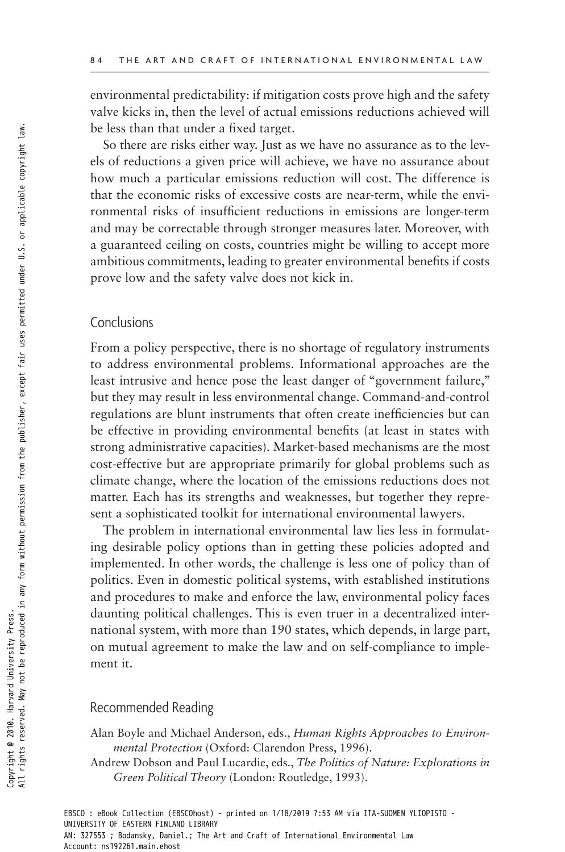environmental predictability: if mitigation costs prove high and the safety valve kicks in, then the level of actual emissions reductions achieved will be less than that under a fixed target.

So there are risks either way. Just as we have no assurance as to the levels of reductions a given price will achieve, we have no assurance about how much a particular emissions reduction will cost. The difference is that the economic risks of excessive costs are near- term, while the environmental risks of insufficient reductions in emissions are longer-term and may be correctable through stronger measures later. Moreover, with a guaranteed ceiling on costs, countries might be willing to accept more ambitious commitments, leading to greater environmental benefits if costs prove low and the safety valve does not kick in.

# Conclusions

From a policy perspective, there is no shortage of regulatory instruments to address environmental problems. Informational approaches are the least intrusive and hence pose the least danger of "government failure," but they may result in less environmental change. Command-and-control regulations are blunt instruments that often create inefficiencies but can be effective in providing environmental benefits (at least in states with strong administrative capacities). Market-based mechanisms are the most cost- effective but are appropriate primarily for global problems such as climate change, where the location of the emissions reductions does not matter. Each has its strengths and weaknesses, but together they represent a sophisticated toolkit for international environmental lawyers.

The problem in international environmental law lies less in formulating desirable policy options than in getting these policies adopted and implemented. In other words, the challenge is less one of policy than of politics. Even in domestic political systems, with established institutions and procedures to make and enforce the law, environmental policy faces daunting political challenges. This is even truer in a decentralized international system, with more than 190 states, which depends, in large part, on mutual agreement to make the law and on self- compliance to implement it.

## Recommended Reading

Alan Boyle and Michael Anderson, eds., *Human Rights Approaches to Environmental Protection* (Oxford: Clarendon Press, 1996).

Andrew Dobson and Paul Lucardie, eds., *The Politics of Nature: Explorations in*  Green Political Theory (London: Routledge, 1993).